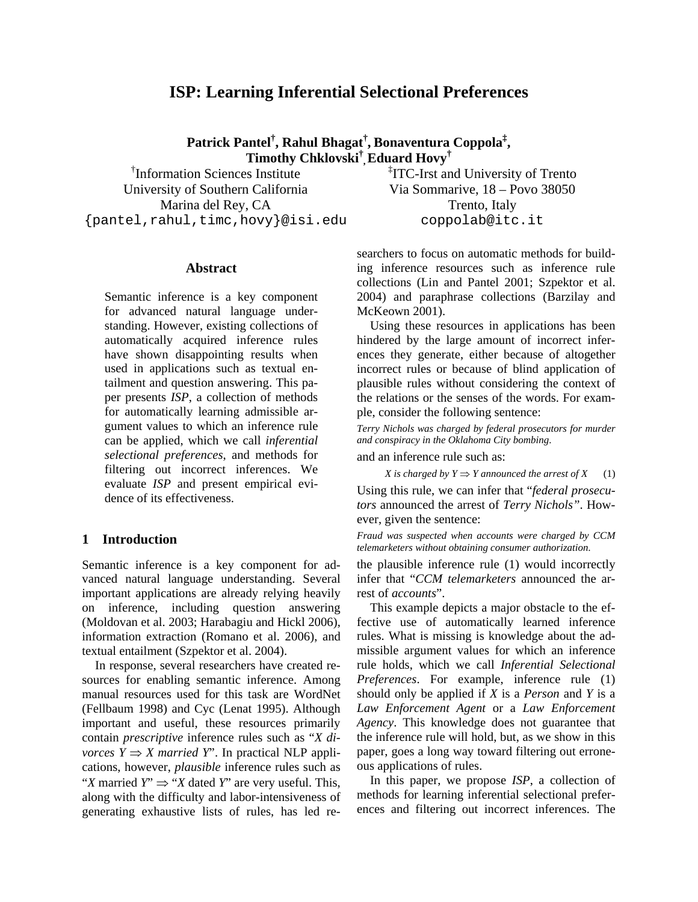# **ISP: Learning Inferential Selectional Preferences**

**Patrick Pantel† , Rahul Bhagat† , Bonaventura Coppola‡ , Timothy Chklovski† ,Eduard Hovy†**

† Information Sciences Institute University of Southern California Marina del Rey, CA {pantel,rahul,timc,hovy}@isi.edu

### **Abstract**

Semantic inference is a key component for advanced natural language understanding. However, existing collections of automatically acquired inference rules have shown disappointing results when used in applications such as textual entailment and question answering. This paper presents *ISP*, a collection of methods for automatically learning admissible argument values to which an inference rule can be applied, which we call *inferential selectional preferences*, and methods for filtering out incorrect inferences. We evaluate *ISP* and present empirical evidence of its effectiveness.

# **1 Introduction**

Semantic inference is a key component for advanced natural language understanding. Several important applications are already relying heavily on inference, including question answering (Moldovan et al. 2003; Harabagiu and Hickl 2006), information extraction (Romano et al. 2006), and textual entailment (Szpektor et al. 2004).

In response, several researchers have created resources for enabling semantic inference. Among manual resources used for this task are WordNet (Fellbaum 1998) and Cyc (Lenat 1995). Although important and useful, these resources primarily contain *prescriptive* inference rules such as "*X divorces*  $Y \Rightarrow X$  *married Y*". In practical NLP applications, however, *plausible* inference rules such as "*X* married *Y*"  $\Rightarrow$  "*X* dated *Y*" are very useful. This, along with the difficulty and labor-intensiveness of generating exhaustive lists of rules, has led re‡ ITC-Irst and University of Trento Via Sommarive, 18 – Povo 38050 Trento, Italy coppolab@itc.it

searchers to focus on automatic methods for building inference resources such as inference rule collections (Lin and Pantel 2001; Szpektor et al. 2004) and paraphrase collections (Barzilay and McKeown 2001).

Using these resources in applications has been hindered by the large amount of incorrect inferences they generate, either because of altogether incorrect rules or because of blind application of plausible rules without considering the context of the relations or the senses of the words. For example, consider the following sentence:

*Terry Nichols was charged by federal prosecutors for murder and conspiracy in the Oklahoma City bombing*.

and an inference rule such as:

*X* is charged by  $Y \Rightarrow Y$  announced the arrest of  $X$  (1) Using this rule, we can infer that "*federal prosecutors* announced the arrest of *Terry Nichols"*. However, given the sentence:

*Fraud was suspected when accounts were charged by CCM telemarketers without obtaining consumer authorization.* 

the plausible inference rule (1) would incorrectly infer that "*CCM telemarketers* announced the arrest of *accounts*".

This example depicts a major obstacle to the effective use of automatically learned inference rules. What is missing is knowledge about the admissible argument values for which an inference rule holds, which we call *Inferential Selectional Preferences*. For example, inference rule (1) should only be applied if *X* is a *Person* and *Y* is a *Law Enforcement Agent* or a *Law Enforcement Agency*. This knowledge does not guarantee that the inference rule will hold, but, as we show in this paper, goes a long way toward filtering out erroneous applications of rules.

In this paper, we propose *ISP*, a collection of methods for learning inferential selectional preferences and filtering out incorrect inferences. The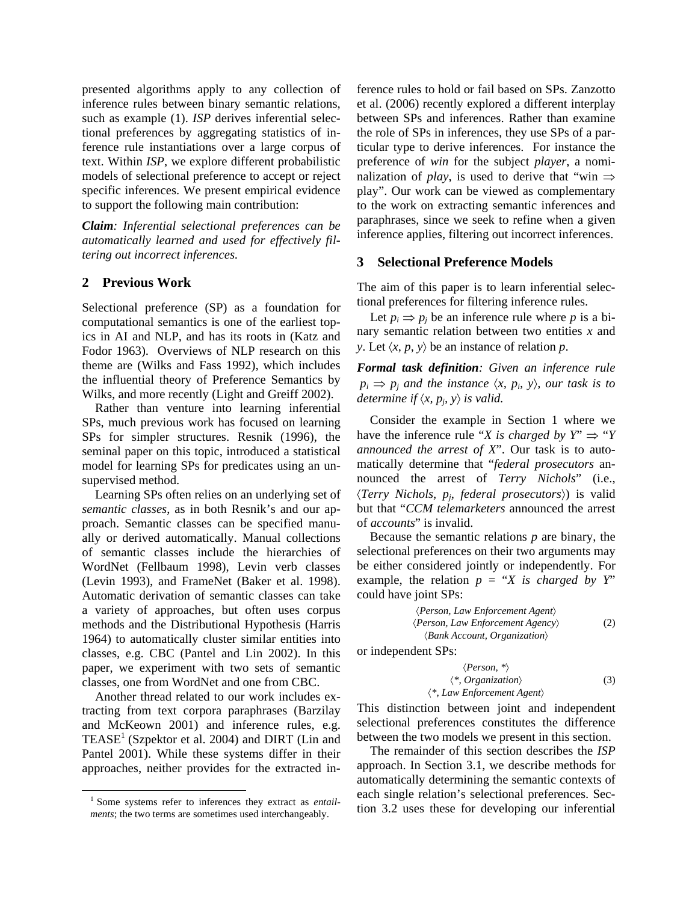presented algorithms apply to any collection of inference rules between binary semantic relations, such as example (1). *ISP* derives inferential selectional preferences by aggregating statistics of inference rule instantiations over a large corpus of text. Within *ISP*, we explore different probabilistic models of selectional preference to accept or reject specific inferences. We present empirical evidence to support the following main contribution:

*Claim: Inferential selectional preferences can be automatically learned and used for effectively filtering out incorrect inferences.*

# **2 Previous Work**

Selectional preference (SP) as a foundation for computational semantics is one of the earliest topics in AI and NLP, and has its roots in (Katz and Fodor 1963). Overviews of NLP research on this theme are (Wilks and Fass 1992), which includes the influential theory of Preference Semantics by Wilks, and more recently (Light and Greiff 2002).

Rather than venture into learning inferential SPs, much previous work has focused on learning SPs for simpler structures. Resnik (1996), the seminal paper on this topic, introduced a statistical model for learning SPs for predicates using an unsupervised method.

Learning SPs often relies on an underlying set of *semantic classes*, as in both Resnik's and our approach. Semantic classes can be specified manually or derived automatically. Manual collections of semantic classes include the hierarchies of WordNet (Fellbaum 1998), Levin verb classes (Levin 1993), and FrameNet (Baker et al. 1998). Automatic derivation of semantic classes can take a variety of approaches, but often uses corpus methods and the Distributional Hypothesis (Harris 1964) to automatically cluster similar entities into classes, e.g. CBC (Pantel and Lin 2002). In this paper, we experiment with two sets of semantic classes, one from WordNet and one from CBC.

Another thread related to our work includes extracting from text corpora paraphrases (Barzilay and McKeown 2001) and inference rules, e.g.  $TEASE<sup>1</sup>$  (Szpektor et al. 2004) and DIRT (Lin and Pantel 2001). While these systems differ in their approaches, neither provides for the extracted inference rules to hold or fail based on SPs. Zanzotto et al. (2006) recently explored a different interplay between SPs and inferences. Rather than examine the role of SPs in inferences, they use SPs of a particular type to derive inferences. For instance the preference of *win* for the subject *player*, a nominalization of *play*, is used to derive that "win  $\Rightarrow$ play". Our work can be viewed as complementary to the work on extracting semantic inferences and paraphrases, since we seek to refine when a given inference applies, filtering out incorrect inferences.

# **3 Selectional Preference Models**

The aim of this paper is to learn inferential selectional preferences for filtering inference rules.

Let  $p_i \Rightarrow p_j$  be an inference rule where p is a binary semantic relation between two entities *x* and *y*. Let  $\langle x, p, y \rangle$  be an instance of relation *p*.

*Formal task definition: Given an inference rule*   $p_i \Rightarrow p_j$  and the instance  $\langle x, p_i, y \rangle$ , our task is to *determine if*  $\langle x, p_j, y \rangle$  *is valid.* 

Consider the example in Section 1 where we have the inference rule "*X* is charged by  $Y'' \Rightarrow "Y$ *announced the arrest of X*". Our task is to automatically determine that "*federal prosecutors* announced the arrest of *Terry Nichols*" (i.e., 〈*Terry Nichols*, *pj*, *federal prosecutors*〉) is valid but that "*CCM telemarketers* announced the arrest of *accounts*" is invalid.

Because the semantic relations *p* are binary, the selectional preferences on their two arguments may be either considered jointly or independently. For example, the relation  $p = "X$  is charged by Y" could have joint SPs:

$$
\langle Person, Law\,Concent\,Agent\rangle
$$
  
\n
$$
\langle Person, Law\,Enforcement\,Agency\rangle
$$
  
\n
$$
\langle Bank\,Account, Organization\rangle
$$
 (2)

or independent SPs:

$$
\langle Person, * \rangle
$$
  

$$
\langle *, Organization \rangle
$$
  

$$
\langle *, (3) \rangle
$$
  

$$
\langle *, Law\,Enforcement\,Agent \rangle
$$

This distinction between joint and independent selectional preferences constitutes the difference between the two models we present in this section.

The remainder of this section describes the *ISP* approach. In Section 3.1, we describe methods for automatically determining the semantic contexts of each single relation's selectional preferences. Section 3.2 uses these for developing our inferential

 <sup>1</sup> Some systems refer to inferences they extract as *entailments*; the two terms are sometimes used interchangeably.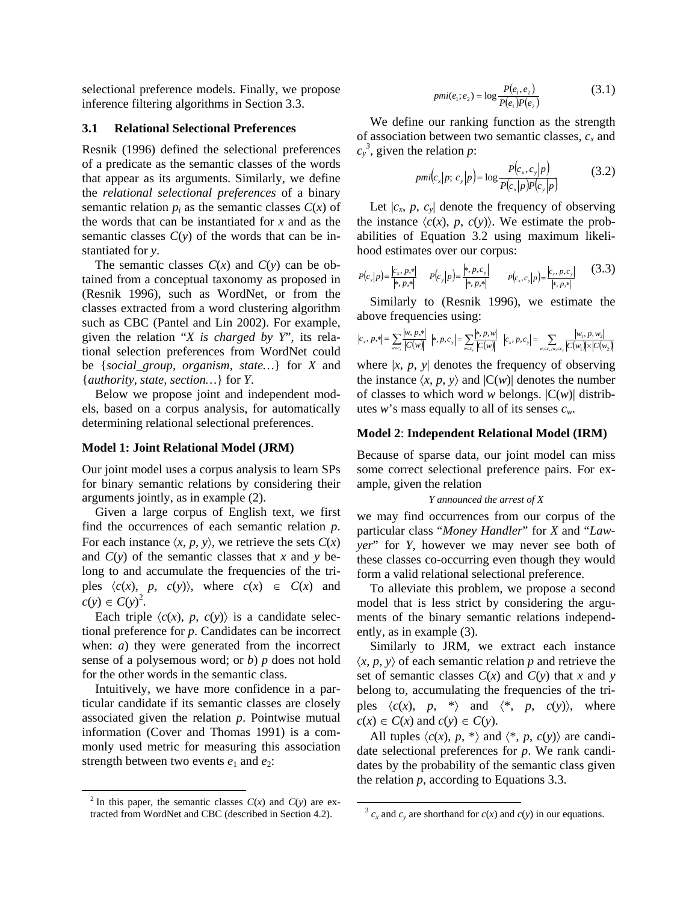selectional preference models. Finally, we propose inference filtering algorithms in Section 3.3.

#### **3.1 Relational Selectional Preferences**

Resnik (1996) defined the selectional preferences of a predicate as the semantic classes of the words that appear as its arguments. Similarly, we define the *relational selectional preferences* of a binary semantic relation  $p_i$  as the semantic classes  $C(x)$  of the words that can be instantiated for *x* and as the semantic classes  $C(y)$  of the words that can be instantiated for *y*.

The semantic classes  $C(x)$  and  $C(y)$  can be obtained from a conceptual taxonomy as proposed in (Resnik 1996), such as WordNet, or from the classes extracted from a word clustering algorithm such as CBC (Pantel and Lin 2002). For example, given the relation "*X is charged by Y*", its relational selection preferences from WordNet could be {*social\_group, organism, state…*} for *X* and {*authority, state, section…*} for *Y*.

Below we propose joint and independent models, based on a corpus analysis, for automatically determining relational selectional preferences.

#### **Model 1: Joint Relational Model (JRM)**

Our joint model uses a corpus analysis to learn SPs for binary semantic relations by considering their arguments jointly, as in example (2).

Given a large corpus of English text, we first find the occurrences of each semantic relation *p*. For each instance  $\langle x, p, y \rangle$ , we retrieve the sets  $C(x)$ and *C*(*y*) of the semantic classes that *x* and *y* belong to and accumulate the frequencies of the triples  $\langle c(x), p, c(y) \rangle$ , where  $c(x) \in C(x)$  and  $c(y) \in C(y)^2$ .

Each triple  $\langle c(x), p, c(y) \rangle$  is a candidate selectional preference for *p*. Candidates can be incorrect when: *a*) they were generated from the incorrect sense of a polysemous word; or *b*) *p* does not hold for the other words in the semantic class.

Intuitively, we have more confidence in a particular candidate if its semantic classes are closely associated given the relation *p*. Pointwise mutual information (Cover and Thomas 1991) is a commonly used metric for measuring this association strength between two events  $e_1$  and  $e_2$ :

$$
pmi(e_1; e_2) = \log \frac{P(e_1, e_2)}{P(e_1)P(e_2)}\tag{3.1}
$$

We define our ranking function as the strength of association between two semantic classes,  $c_x$  and  $c_y^3$ , given the relation *p*:

$$
pmi(c_x|p; c_y|p) = \log \frac{P(c_x, c_y|p)}{P(c_x|p)P(c_y|p)}
$$
(3.2)

Let  $|c_x, p, c_y|$  denote the frequency of observing the instance  $\langle c(x), p, c(y) \rangle$ . We estimate the probabilities of Equation 3.2 using maximum likelihood estimates over our corpus:

$$
P(c_x|p) = \frac{|c_x, p, *|}{|*, p, *|} \qquad P(c_y|p) = \frac{|*, p, c_y|}{|*, p, *|} \qquad P(c_x, c_y|p) = \frac{|c_x, p, c_y|}{|*, p, *|} \qquad (3.3)
$$

Similarly to (Resnik 1996), we estimate the above frequencies using:

$$
|c_x, p,*| = \sum_{w \in c_x} \frac{|w, p,*|}{|C(w)|} \ |*, p, c_y| = \sum_{w \in c_y} \frac{|*, p, w|}{|C(w)|} \ |c_x, p, c_y| = \sum_{w_i \in c_x, w_2 \in c_y} \frac{|w_i, p, w_2|}{|C(w_i)| \times |C(w_2)|}
$$

where  $|x, p, y|$  denotes the frequency of observing the instance  $\langle x, p, y \rangle$  and  $|C(w)|$  denotes the number of classes to which word *w* belongs.  $|C(w)|$  distributes *w*'s mass equally to all of its senses *cw*.

# **Model 2**: **Independent Relational Model (IRM)**

Because of sparse data, our joint model can miss some correct selectional preference pairs. For example, given the relation

#### *Y announced the arrest of X*

we may find occurrences from our corpus of the particular class "*Money Handler*" for *X* and "*Lawyer*" for *Y*, however we may never see both of these classes co-occurring even though they would form a valid relational selectional preference.

To alleviate this problem, we propose a second model that is less strict by considering the arguments of the binary semantic relations independently, as in example (3).

Similarly to JRM, we extract each instance  $\langle x, p, y \rangle$  of each semantic relation *p* and retrieve the set of semantic classes  $C(x)$  and  $C(y)$  that *x* and *y* belong to, accumulating the frequencies of the triples  $\langle c(x), p, * \rangle$  and  $\langle *, p, c(y) \rangle$ , where  $c(x) \in C(x)$  and  $c(y) \in C(y)$ .

All tuples  $\langle c(x), p, * \rangle$  and  $\langle *, p, c(y) \rangle$  are candidate selectional preferences for *p*. We rank candidates by the probability of the semantic class given the relation *p*, according to Equations 3.3.

 $\frac{1}{2}$  In this paper, the semantic classes  $C(x)$  and  $C(y)$  are extracted from WordNet and CBC (described in Section 4.2).

 $3 c_x$  and  $c_y$  are shorthand for  $c(x)$  and  $c(y)$  in our equations.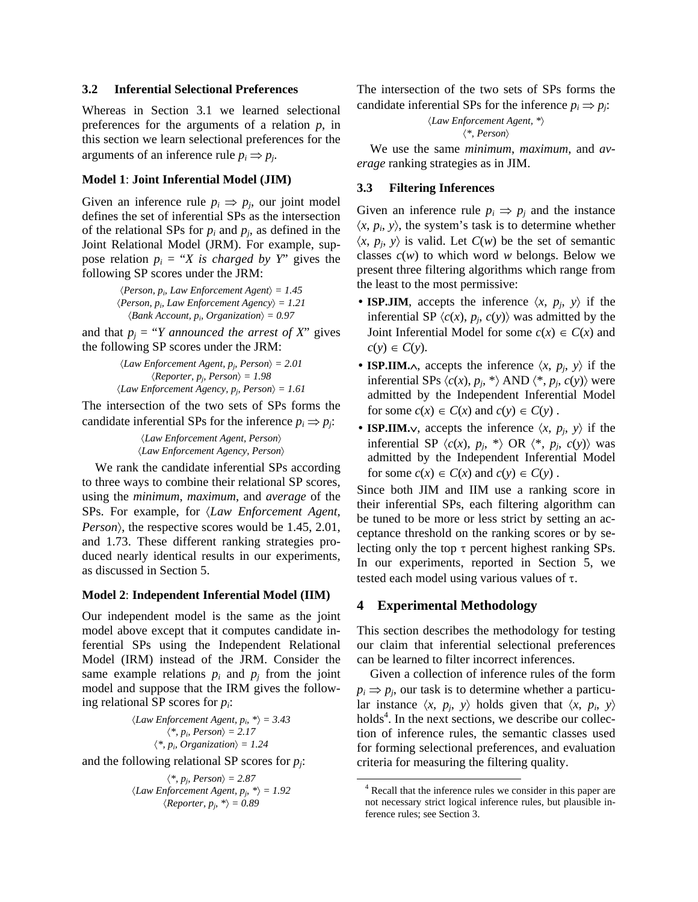# **3.2 Inferential Selectional Preferences**

Whereas in Section 3.1 we learned selectional preferences for the arguments of a relation *p*, in this section we learn selectional preferences for the arguments of an inference rule  $p_i \Rightarrow p_j$ .

#### **Model 1**: **Joint Inferential Model (JIM)**

Given an inference rule  $p_i \Rightarrow p_j$ , our joint model defines the set of inferential SPs as the intersection of the relational SPs for  $p_i$  and  $p_j$ , as defined in the Joint Relational Model (JRM). For example, suppose relation  $p_i = "X$  is *charged by Y*" gives the following SP scores under the JRM:

> $\langle Person, p_i, Law\,Information\,Agent\rangle = 1.45$  $\langle Person, p_i, Law\,Information\,A\,genc\rangle = 1.21$  $\langle Bank Account, p_i, Organization \rangle = 0.97$

and that  $p_i = "Y$  *announced the arrest of X*" gives the following SP scores under the JRM:

> $\langle Law\,Enforcement\,Agent, p_i, Person \rangle = 2.01$  $\langle Reporter, p_j, Person \rangle = 1.98$  $\langle Law\,Enforcement\ Agency, p_i\, Person \rangle = 1.61$

The intersection of the two sets of SPs forms the candidate inferential SPs for the inference  $p_i \Rightarrow p_j$ .

> 〈*Law Enforcement Agent, Person*〉 〈*Law Enforcement Agency, Person*〉

We rank the candidate inferential SPs according to three ways to combine their relational SP scores, using the *minimum*, *maximum*, and *average* of the SPs. For example, for 〈*Law Enforcement Agent, Person*〉, the respective scores would be 1.45, 2.01, and 1.73. These different ranking strategies produced nearly identical results in our experiments, as discussed in Section 5.

#### **Model 2**: **Independent Inferential Model (IIM)**

Our independent model is the same as the joint model above except that it computes candidate inferential SPs using the Independent Relational Model (IRM) instead of the JRM. Consider the same example relations  $p_i$  and  $p_j$  from the joint model and suppose that the IRM gives the following relational SP scores for *pi*:

> $\langle Law\,Enforcement\,Agent, p_i, *\rangle = 3.43$  $\langle * , p_i, Person \rangle = 2.17$  $\langle * , p_i$ , *Organization* $\rangle = 1.24$

and the following relational SP scores for *pj*:

$$
\langle *, p_j, Person \rangle = 2.87
$$
  

$$
\langle Law\,Information \,Agent, p_j, * \rangle = 1.92
$$
  

$$
\langle Reporter, p_j, * \rangle = 0.89
$$

The intersection of the two sets of SPs forms the candidate inferential SPs for the inference  $p_i \Rightarrow p_j$ :

> 〈*Law Enforcement Agent, \**〉 〈*\*, Person*〉

We use the same *minimum*, *maximum*, and *average* ranking strategies as in JIM.

### **3.3 Filtering Inferences**

Given an inference rule  $p_i \Rightarrow p_j$  and the instance  $\langle x, p_i, y \rangle$ , the system's task is to determine whether  $\langle x, p_i, y \rangle$  is valid. Let  $C(w)$  be the set of semantic classes  $c(w)$  to which word  $w$  belongs. Below we present three filtering algorithms which range from the least to the most permissive:

- **ISP.JIM**, accepts the inference  $\langle x, p_i, y \rangle$  if the inferential SP  $\langle c(x), p_j, c(y) \rangle$  was admitted by the Joint Inferential Model for some  $c(x) \in C(x)$  and  $c(y) \in C(y)$ .
- **ISP.IIM.** $\wedge$ , accepts the inference  $\langle x, p_j, y \rangle$  if the inferential SPs  $\langle c(x), p_i, * \rangle$  AND  $\langle *, p_i, c(y) \rangle$  were admitted by the Independent Inferential Model for some  $c(x) \in C(x)$  and  $c(y) \in C(y)$ .
- **ISP.IIM.** $\vee$ , accepts the inference  $\langle x, p_i, y \rangle$  if the inferential SP  $\langle c(x), p_j, * \rangle$  OR  $\langle *, p_j, c(y) \rangle$  was admitted by the Independent Inferential Model for some  $c(x) \in C(x)$  and  $c(y) \in C(y)$ .

Since both JIM and IIM use a ranking score in their inferential SPs, each filtering algorithm can be tuned to be more or less strict by setting an acceptance threshold on the ranking scores or by selecting only the top  $\tau$  percent highest ranking SPs. In our experiments, reported in Section 5, we tested each model using various values of  $\tau$ .

### **4 Experimental Methodology**

This section describes the methodology for testing our claim that inferential selectional preferences can be learned to filter incorrect inferences.

Given a collection of inference rules of the form  $p_i \Rightarrow p_j$ , our task is to determine whether a particular instance  $\langle x, p_i, y \rangle$  holds given that  $\langle x, p_i, y \rangle$ holds<sup>4</sup>. In the next sections, we describe our collection of inference rules, the semantic classes used for forming selectional preferences, and evaluation criteria for measuring the filtering quality.

 <sup>4</sup> Recall that the inference rules we consider in this paper are not necessary strict logical inference rules, but plausible inference rules; see Section 3.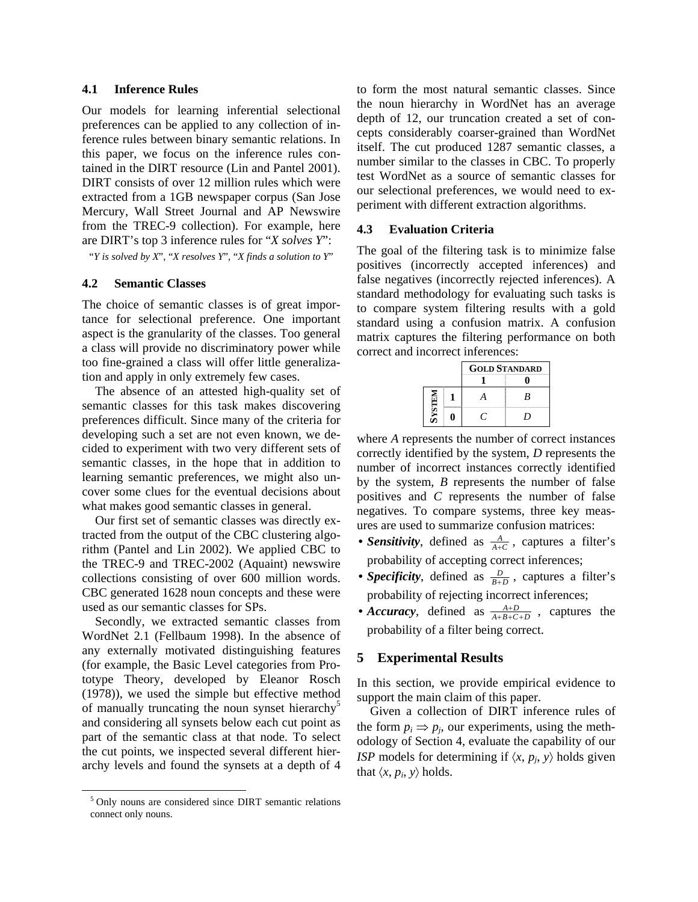#### **4.1 Inference Rules**

Our models for learning inferential selectional preferences can be applied to any collection of inference rules between binary semantic relations. In this paper, we focus on the inference rules contained in the DIRT resource (Lin and Pantel 2001). DIRT consists of over 12 million rules which were extracted from a 1GB newspaper corpus (San Jose Mercury, Wall Street Journal and AP Newswire from the TREC-9 collection). For example, here are DIRT's top 3 inference rules for "*X solves Y*":

"*Y is solved by X*", "*X resolves Y*", "*X finds a solution to Y*"

### **4.2 Semantic Classes**

The choice of semantic classes is of great importance for selectional preference. One important aspect is the granularity of the classes. Too general a class will provide no discriminatory power while too fine-grained a class will offer little generalization and apply in only extremely few cases.

The absence of an attested high-quality set of semantic classes for this task makes discovering preferences difficult. Since many of the criteria for developing such a set are not even known, we decided to experiment with two very different sets of semantic classes, in the hope that in addition to learning semantic preferences, we might also uncover some clues for the eventual decisions about what makes good semantic classes in general.

Our first set of semantic classes was directly extracted from the output of the CBC clustering algorithm (Pantel and Lin 2002). We applied CBC to the TREC-9 and TREC-2002 (Aquaint) newswire collections consisting of over 600 million words. CBC generated 1628 noun concepts and these were used as our semantic classes for SPs.

Secondly, we extracted semantic classes from WordNet 2.1 (Fellbaum 1998). In the absence of any externally motivated distinguishing features (for example, the Basic Level categories from Prototype Theory, developed by Eleanor Rosch (1978)), we used the simple but effective method of manually truncating the noun synset hierarchy<sup>5</sup> and considering all synsets below each cut point as part of the semantic class at that node. To select the cut points, we inspected several different hierarchy levels and found the synsets at a depth of 4

to form the most natural semantic classes. Since the noun hierarchy in WordNet has an average depth of 12, our truncation created a set of concepts considerably coarser-grained than WordNet itself. The cut produced 1287 semantic classes, a number similar to the classes in CBC. To properly test WordNet as a source of semantic classes for our selectional preferences, we would need to experiment with different extraction algorithms.

#### **4.3 Evaluation Criteria**

The goal of the filtering task is to minimize false positives (incorrectly accepted inferences) and false negatives (incorrectly rejected inferences). A standard methodology for evaluating such tasks is to compare system filtering results with a gold standard using a confusion matrix. A confusion matrix captures the filtering performance on both correct and incorrect inferences:

|               | <b>GOLD STANDARD</b> |    |  |
|---------------|----------------------|----|--|
|               |                      |    |  |
| <b>NELISA</b> |                      | B  |  |
|               |                      | ٠, |  |

where *A* represents the number of correct instances correctly identified by the system, *D* represents the number of incorrect instances correctly identified by the system, *B* represents the number of false positives and *C* represents the number of false negatives. To compare systems, three key measures are used to summarize confusion matrices:

- *Sensitivity*, defined as  $\frac{A}{A+C}$ , captures a filter's probability of accepting correct inferences;
- *Specificity*, defined as  $\frac{D}{B+D}$ , captures a filter's probability of rejecting incorrect inferences;
- *Accuracy*, defined as  $\frac{A+D}{A+B+C+D}$ , captures the probability of a filter being correct.

# **5 Experimental Results**

In this section, we provide empirical evidence to support the main claim of this paper.

Given a collection of DIRT inference rules of the form  $p_i \Rightarrow p_j$ , our experiments, using the methodology of Section 4, evaluate the capability of our *ISP* models for determining if  $\langle x, p_j, y \rangle$  holds given that  $\langle x, p_i, y \rangle$  holds.

 <sup>5</sup> Only nouns are considered since DIRT semantic relations connect only nouns.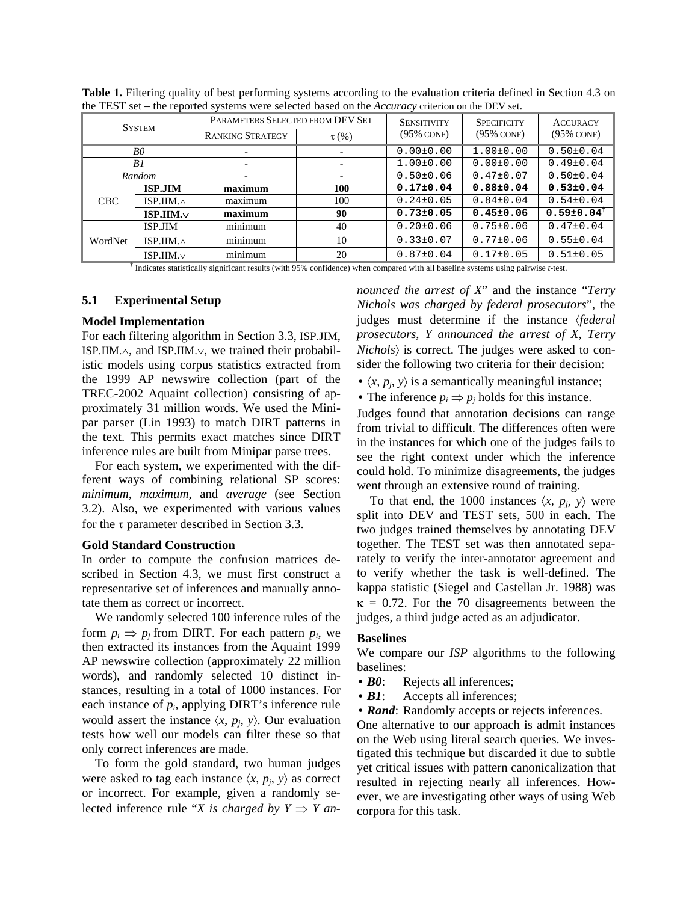| the TEDT bet the reported by bients were belected bubed on the ricem acy enterion on the BET bett |                   |                                  |            |                    |                    |                              |  |  |
|---------------------------------------------------------------------------------------------------|-------------------|----------------------------------|------------|--------------------|--------------------|------------------------------|--|--|
| <b>SYSTEM</b>                                                                                     |                   | PARAMETERS SELECTED FROM DEV SET |            | <b>SENSITIVITY</b> | <b>SPECIFICITY</b> | <b>ACCURACY</b>              |  |  |
|                                                                                                   |                   | <b>RANKING STRATEGY</b>          | $\tau$ (%) | $(95\%$ CONF)      | $(95\%$ CONF)      | $(95\%$ CONF)                |  |  |
| B0                                                                                                |                   |                                  | -          | $0.00 \pm 0.00$    | $1.00 \pm 0.00$    | $0.50 \pm 0.04$              |  |  |
| B1                                                                                                |                   |                                  |            | $1.00 \pm 0.00$    | $0.00 \pm 0.00$    | $0.49 \pm 0.04$              |  |  |
| Random                                                                                            |                   |                                  |            | $0.50 \pm 0.06$    | $0.47 \pm 0.07$    | $0.50 \pm 0.04$              |  |  |
| CBC                                                                                               | <b>ISP.JIM</b>    | maximum                          | 100        | $0.17 \pm 0.04$    | $0.88 \pm 0.04$    | $0.53 \pm 0.04$              |  |  |
|                                                                                                   | ISP.IIM. $\wedge$ | maximum                          | 100        | $0.24 \pm 0.05$    | $0.84 \pm 0.04$    | $0.54 \pm 0.04$              |  |  |
|                                                                                                   | $ISP. II M. \vee$ | maximum                          | 90         | $0.73 \pm 0.05$    | $0.45 \pm 0.06$    | $0.59 \pm 0.04$ <sup>†</sup> |  |  |
| WordNet                                                                                           | ISP.JIM           | minimum                          | 40         | $0.20 \pm 0.06$    | $0.75 \pm 0.06$    | $0.47 \pm 0.04$              |  |  |
|                                                                                                   | ISP.IIM. $\wedge$ | minimum                          | 10         | $0.33\pm0.07$      | $0.77 \pm 0.06$    | $0.55 \pm 0.04$              |  |  |
|                                                                                                   | $ISP.IIM.\vee$    | minimum                          | 20         | $0.87 \pm 0.04$    | $0.17 \pm 0.05$    | $0.51 \pm 0.05$              |  |  |

**Table 1.** Filtering quality of best performing systems according to the evaluation criteria defined in Section 4.3 on the TEST set – the reported systems were selected based on the *Accuracy* criterion on the DEV set.

† Indicates statistically significant results (with 95% confidence) when compared with all baseline systems using pairwise *t*-test.

# **5.1 Experimental Setup**

#### **Model Implementation**

For each filtering algorithm in Section 3.3, ISP.JIM, ISP.IIM.∧, and ISP.IIM.∨, we trained their probabilistic models using corpus statistics extracted from the 1999 AP newswire collection (part of the TREC-2002 Aquaint collection) consisting of approximately 31 million words. We used the Minipar parser (Lin 1993) to match DIRT patterns in the text. This permits exact matches since DIRT inference rules are built from Minipar parse trees.

For each system, we experimented with the different ways of combining relational SP scores: *minimum*, *maximum*, and *average* (see Section 3.2). Also, we experimented with various values for the τ parameter described in Section 3.3.

# **Gold Standard Construction**

In order to compute the confusion matrices described in Section 4.3, we must first construct a representative set of inferences and manually annotate them as correct or incorrect.

We randomly selected 100 inference rules of the form  $p_i \Rightarrow p_j$  from DIRT. For each pattern  $p_i$ , we then extracted its instances from the Aquaint 1999 AP newswire collection (approximately 22 million words), and randomly selected 10 distinct instances, resulting in a total of 1000 instances. For each instance of *pi*, applying DIRT's inference rule would assert the instance  $\langle x, p_i, y \rangle$ . Our evaluation tests how well our models can filter these so that only correct inferences are made.

To form the gold standard, two human judges were asked to tag each instance  $\langle x, p_i, y \rangle$  as correct or incorrect. For example, given a randomly selected inference rule "*X* is charged by  $Y \Rightarrow Y$  an*nounced the arrest of X*" and the instance "*Terry Nichols was charged by federal prosecutors*", the judges must determine if the instance 〈*federal prosecutors*, *Y announced the arrest of X*, *Terry Nichols*〉 is correct. The judges were asked to consider the following two criteria for their decision:

•  $\langle x, p_i, y \rangle$  is a semantically meaningful instance;

• The inference  $p_i \Rightarrow p_j$  holds for this instance.

Judges found that annotation decisions can range from trivial to difficult. The differences often were in the instances for which one of the judges fails to see the right context under which the inference could hold. To minimize disagreements, the judges went through an extensive round of training.

To that end, the 1000 instances  $\langle x, p_i, y \rangle$  were split into DEV and TEST sets, 500 in each. The two judges trained themselves by annotating DEV together. The TEST set was then annotated separately to verify the inter-annotator agreement and to verify whether the task is well-defined. The kappa statistic (Siegel and Castellan Jr. 1988) was  $\kappa = 0.72$ . For the 70 disagreements between the judges, a third judge acted as an adjudicator.

# **Baselines**

We compare our *ISP* algorithms to the following baselines:

- **B0**: Rejects all inferences;
- **B1**: Accepts all inferences;
- *Rand*: Randomly accepts or rejects inferences.

One alternative to our approach is admit instances on the Web using literal search queries. We investigated this technique but discarded it due to subtle yet critical issues with pattern canonicalization that resulted in rejecting nearly all inferences. However, we are investigating other ways of using Web corpora for this task.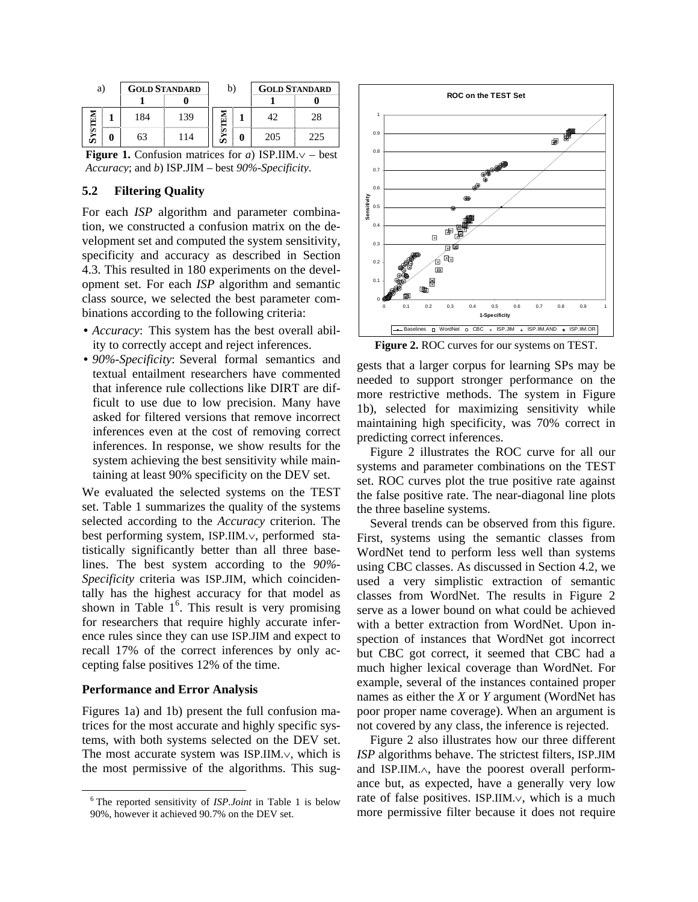| a) |   | <b>GOLD STANDARD</b> |     | b) | <b>GOLD STANDARD</b> |     |
|----|---|----------------------|-----|----|----------------------|-----|
|    |   |                      |     |    |                      |     |
|    |   | 184                  | 139 | i۷ | 1つ                   | 28  |
|    | 3 | 53                   | 14  |    | 205                  | つつち |

**Figure 1.** Confusion matrices for *a*) ISP.IIM.∨ – best *Accuracy*; and *b*) ISP.JIM – best *90%-Specificity*.

# **5.2 Filtering Quality**

For each *ISP* algorithm and parameter combination, we constructed a confusion matrix on the development set and computed the system sensitivity, specificity and accuracy as described in Section 4.3. This resulted in 180 experiments on the development set. For each *ISP* algorithm and semantic class source, we selected the best parameter combinations according to the following criteria:

- *Accuracy*: This system has the best overall ability to correctly accept and reject inferences.
- *90%-Specificity*: Several formal semantics and textual entailment researchers have commented that inference rule collections like DIRT are difficult to use due to low precision. Many have asked for filtered versions that remove incorrect inferences even at the cost of removing correct inferences. In response, we show results for the system achieving the best sensitivity while maintaining at least 90% specificity on the DEV set.

We evaluated the selected systems on the TEST set. Table 1 summarizes the quality of the systems selected according to the *Accuracy* criterion. The best performing system, ISP.IIM.∨, performed statistically significantly better than all three baselines. The best system according to the *90%- Specificity* criteria was ISP.JIM, which coincidentally has the highest accuracy for that model as shown in Table  $1<sup>6</sup>$ . This result is very promising for researchers that require highly accurate inference rules since they can use ISP.JIM and expect to recall 17% of the correct inferences by only accepting false positives 12% of the time.

# **Performance and Error Analysis**

Figures 1a) and 1b) present the full confusion matrices for the most accurate and highly specific systems, with both systems selected on the DEV set. The most accurate system was ISP.IIM.∨, which is the most permissive of the algorithms. This sug-



**Figure 2.** ROC curves for our systems on TEST.

gests that a larger corpus for learning SPs may be needed to support stronger performance on the more restrictive methods. The system in Figure 1b), selected for maximizing sensitivity while maintaining high specificity, was 70% correct in predicting correct inferences.

Figure 2 illustrates the ROC curve for all our systems and parameter combinations on the TEST set. ROC curves plot the true positive rate against the false positive rate. The near-diagonal line plots the three baseline systems.

Several trends can be observed from this figure. First, systems using the semantic classes from WordNet tend to perform less well than systems using CBC classes. As discussed in Section 4.2, we used a very simplistic extraction of semantic classes from WordNet. The results in Figure 2 serve as a lower bound on what could be achieved with a better extraction from WordNet. Upon inspection of instances that WordNet got incorrect but CBC got correct, it seemed that CBC had a much higher lexical coverage than WordNet. For example, several of the instances contained proper names as either the *X* or *Y* argument (WordNet has poor proper name coverage). When an argument is not covered by any class, the inference is rejected.

Figure 2 also illustrates how our three different *ISP* algorithms behave. The strictest filters, ISP.JIM and ISP.IIM.∧, have the poorest overall performance but, as expected, have a generally very low rate of false positives. ISP.IIM.∨, which is a much more permissive filter because it does not require

 <sup>6</sup> The reported sensitivity of *ISP.Joint* in Table 1 is below 90%, however it achieved 90.7% on the DEV set.